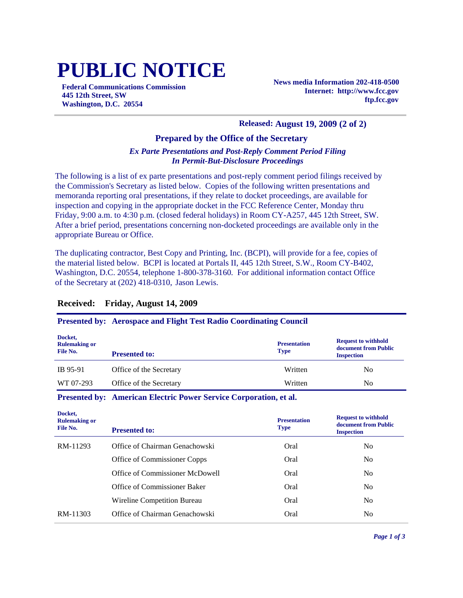# **PUBLIC NOTICE**

**Federal Communications Commission 445 12th Street, SW Washington, D.C. 20554**

**News media Information 202-418-0500 Internet: http://www.fcc.gov ftp.fcc.gov**

## **Released: August 19, 2009 (2 of 2)**

## **Prepared by the Office of the Secretary**

## *Ex Parte Presentations and Post-Reply Comment Period Filing In Permit-But-Disclosure Proceedings*

The following is a list of ex parte presentations and post-reply comment period filings received by the Commission's Secretary as listed below. Copies of the following written presentations and memoranda reporting oral presentations, if they relate to docket proceedings, are available for inspection and copying in the appropriate docket in the FCC Reference Center, Monday thru Friday, 9:00 a.m. to 4:30 p.m. (closed federal holidays) in Room CY-A257, 445 12th Street, SW. After a brief period, presentations concerning non-docketed proceedings are available only in the appropriate Bureau or Office.

The duplicating contractor, Best Copy and Printing, Inc. (BCPI), will provide for a fee, copies of the material listed below. BCPI is located at Portals II, 445 12th Street, S.W., Room CY-B402, Washington, D.C. 20554, telephone 1-800-378-3160. For additional information contact Office of the Secretary at (202) 418-0310, Jason Lewis.

## **Received: Friday, August 14, 2009**

## **Presented by: Aerospace and Flight Test Radio Coordinating Council**

| Docket,<br><b>Rulemaking or</b><br>File No. | <b>Presented to:</b>    | <b>Presentation</b><br><b>Type</b> | <b>Request to withhold</b><br>document from Public<br><b>Inspection</b> |
|---------------------------------------------|-------------------------|------------------------------------|-------------------------------------------------------------------------|
| IB 95-91                                    | Office of the Secretary | Written                            | N <sub>0</sub>                                                          |
| WT 07-293                                   | Office of the Secretary | Written                            | No                                                                      |

#### **Presented by: American Electric Power Service Corporation, et al.**

| Docket,<br><b>Rulemaking or</b><br>File No. | <b>Presented to:</b>            | <b>Presentation</b><br><b>Type</b> | <b>Request to withhold</b><br>document from Public<br><b>Inspection</b> |
|---------------------------------------------|---------------------------------|------------------------------------|-------------------------------------------------------------------------|
| RM-11293                                    | Office of Chairman Genachowski  | Oral                               | N <sub>0</sub>                                                          |
|                                             | Office of Commissioner Copps    | Oral                               | N <sub>0</sub>                                                          |
|                                             | Office of Commissioner McDowell | Oral                               | N <sub>0</sub>                                                          |
|                                             | Office of Commissioner Baker    | Oral                               | N <sub>0</sub>                                                          |
|                                             | Wireline Competition Bureau     | Oral                               | N <sub>0</sub>                                                          |
| RM-11303                                    | Office of Chairman Genachowski  | Oral                               | N <sub>0</sub>                                                          |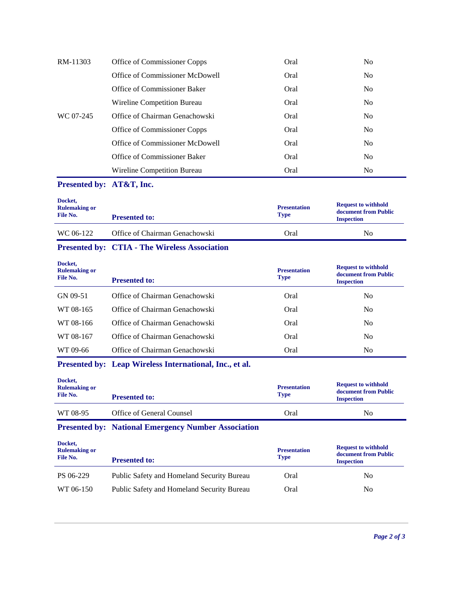| RM-11303  | Office of Commissioner Copps    | Oral | No.            |
|-----------|---------------------------------|------|----------------|
|           | Office of Commissioner McDowell | Oral | No.            |
|           | Office of Commissioner Baker    | Oral | No.            |
|           | Wireline Competition Bureau     | Oral | No.            |
| WC 07-245 | Office of Chairman Genachowski  | Oral | No.            |
|           | Office of Commissioner Copps    | Oral | N <sub>o</sub> |
|           | Office of Commissioner McDowell | Oral | No.            |
|           | Office of Commissioner Baker    | Oral | No.            |
|           | Wireline Competition Bureau     | Oral | No.            |

# **Presented by: AT&T, Inc.**

| Docket,<br><b>Rulemaking or</b><br>File No. | <b>Presented to:</b>           | <b>Presentation</b><br><b>Type</b> | <b>Request to withhold</b><br>document from Public<br><b>Inspection</b> |
|---------------------------------------------|--------------------------------|------------------------------------|-------------------------------------------------------------------------|
| WC 06-122                                   | Office of Chairman Genachowski | Oral                               | N <sub>0</sub>                                                          |

# **Presented by: CTIA - The Wireless Association**

| Docket,<br><b>Rulemaking or</b><br>File No. | <b>Presented to:</b>                                    | <b>Presentation</b><br><b>Type</b> | <b>Request to withhold</b><br>document from Public<br><b>Inspection</b> |
|---------------------------------------------|---------------------------------------------------------|------------------------------------|-------------------------------------------------------------------------|
| GN 09-51                                    | Office of Chairman Genachowski                          | Oral                               | No.                                                                     |
| WT 08-165                                   | Office of Chairman Genachowski                          | Oral                               | N <sub>0</sub>                                                          |
| WT 08-166                                   | Office of Chairman Genachowski                          | Oral                               | N <sub>o</sub>                                                          |
| WT 08-167                                   | Office of Chairman Genachowski                          | Oral                               | N <sub>0</sub>                                                          |
| WT 09-66                                    | Office of Chairman Genachowski                          | Oral                               | N <sub>0</sub>                                                          |
|                                             | Presented by: Leap Wireless International, Inc., et al. |                                    |                                                                         |
| Docket,<br>Dalamaking an                    |                                                         | <b>Dresontation</b>                | <b>Request to withhold</b>                                              |

| <b>Rulemaking or</b><br>File No. | <b>Presented to:</b>      | <b>Presentation</b><br><b>Type</b> | Request to withhold<br>document from Public<br><b>Inspection</b> |
|----------------------------------|---------------------------|------------------------------------|------------------------------------------------------------------|
| WT 08-95                         | Office of General Counsel | Oral                               | N <sub>o</sub>                                                   |

# **Presented by: National Emergency Number Association**

| Docket,<br><b>Rulemaking or</b><br>File No. | <b>Presented to:</b>                       | <b>Presentation</b><br><b>Type</b> | <b>Request to withhold</b><br>document from Public<br><b>Inspection</b> |
|---------------------------------------------|--------------------------------------------|------------------------------------|-------------------------------------------------------------------------|
| PS 06-229                                   | Public Safety and Homeland Security Bureau | Oral                               | No                                                                      |
| WT 06-150                                   | Public Safety and Homeland Security Bureau | Oral                               | No.                                                                     |